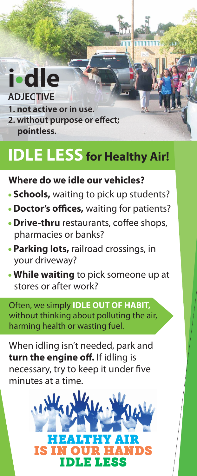### **i•dle ADJECTIVE**

- **1. not active or in use.**
- **2. without purpose or effect: pointless.**

## **IDLE LESS for Healthy Air!**

**TITTITTITTITTITTI** 

### **Where do we idle our vehicles?**

- **Schools,** waiting to pick up students?
- **Doctor's offices**, waiting for patients?
- **Drive-thru** restaurants, coffee shops, pharmacies or banks?
- **Parking lots,** railroad crossings, in your driveway?
- **While waiting** to pick someone up at stores or after work?

Often, we simply **IDLE OUT OF HABIT,** without thinking about polluting the air, harming health or wasting fuel.

When idling isn't needed, park and **turn the engine off.** If idling is necessary, try to keep it under five minutes at a time.